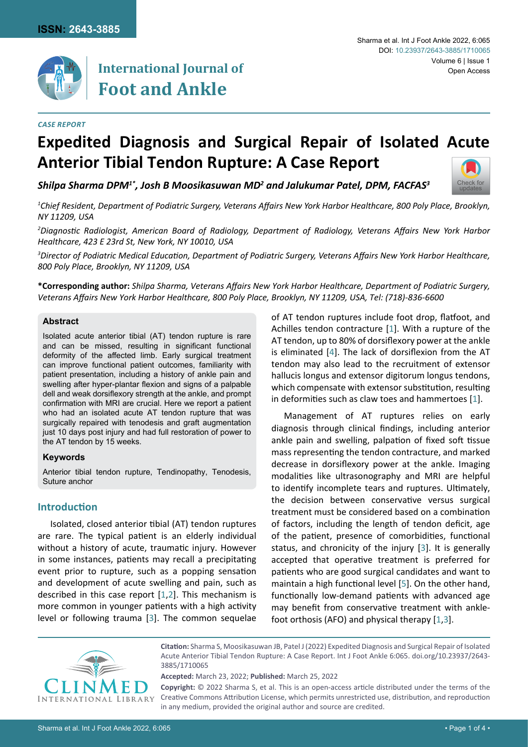

# **International Journal of Foot and Ankle**

#### Sharma et al. Int J Foot Ankle 2022, 6:065 Volume 6 | Issue 1 Open Access DOI: [10.23937/2643-3885/1710065](https://doi.org/10.23937/2643-3885/1710065)

# **Expedited Diagnosis and Surgical Repair of Isolated Acute Anterior Tibial Tendon Rupture: A Case Report**

*Shilpa Sharma DPM1\*, Josh B Moosikasuwan MD2 and Jalukumar Patel, DPM, FACFAS3*



*1 Chief Resident, Department of Podiatric Surgery, Veterans Affairs New York Harbor Healthcare, 800 Poly Place, Brooklyn, NY 11209, USA*

*2 Diagnostic Radiologist, American Board of Radiology, Department of Radiology, Veterans Affairs New York Harbor Healthcare, 423 E 23rd St, New York, NY 10010, USA*

*3 Director of Podiatric Medical Education, Department of Podiatric Surgery, Veterans Affairs New York Harbor Healthcare, 800 Poly Place, Brooklyn, NY 11209, USA*

**\*Corresponding author:** *Shilpa Sharma, Veterans Affairs New York Harbor Healthcare, Department of Podiatric Surgery, Veterans Affairs New York Harbor Healthcare, 800 Poly Place, Brooklyn, NY 11209, USA, Tel: (718)-836-6600*

#### **Abstract**

Isolated acute anterior tibial (AT) tendon rupture is rare and can be missed, resulting in significant functional deformity of the affected limb. Early surgical treatment can improve functional patient outcomes, familiarity with patient presentation, including a history of ankle pain and swelling after hyper-plantar flexion and signs of a palpable dell and weak dorsiflexory strength at the ankle, and prompt confirmation with MRI are crucial. Here we report a patient who had an isolated acute AT tendon rupture that was surgically repaired with tenodesis and graft augmentation just 10 days post injury and had full restoration of power to the AT tendon by 15 weeks.

### **Keywords**

Anterior tibial tendon rupture, Tendinopathy, Tenodesis, Suture anchor

## **Introduction**

Isolated, closed anterior tibial (AT) tendon ruptures are rare. The typical patient is an elderly individual without a history of acute, traumatic injury. However in some instances, patients may recall a precipitating event prior to rupture, such as a popping sensation and development of acute swelling and pain, such as described in this case report [\[1,](#page-3-0)[2](#page-3-4)]. This mechanism is more common in younger patients with a high activity level or following trauma [[3\]](#page-3-2). The common sequelae of AT tendon ruptures include foot drop, flatfoot, and Achilles tendon contracture [[1](#page-3-0)]. With a rupture of the AT tendon, up to 80% of dorsiflexory power at the ankle is eliminated [\[4](#page-3-1)]. The lack of dorsiflexion from the AT tendon may also lead to the recruitment of extensor hallucis longus and extensor digitorum longus tendons, which compensate with extensor substitution, resulting in deformities such as claw toes and hammertoes [[1](#page-3-0)].

Management of AT ruptures relies on early diagnosis through clinical findings, including anterior ankle pain and swelling, palpation of fixed soft tissue mass representing the tendon contracture, and marked decrease in dorsiflexory power at the ankle. Imaging modalities like ultrasonography and MRI are helpful to identify incomplete tears and ruptures. Ultimately, the decision between conservative versus surgical treatment must be considered based on a combination of factors, including the length of tendon deficit, age of the patient, presence of comorbidities, functional status, and chronicity of the injury [\[3](#page-3-2)]. It is generally accepted that operative treatment is preferred for patients who are good surgical candidates and want to maintain a high functional level [[5](#page-3-3)]. On the other hand, functionally low-demand patients with advanced age may benefit from conservative treatment with anklefoot orthosis (AFO) and physical therapy [[1](#page-3-0)[,3\]](#page-3-2).



**Citation:** Sharma S, Moosikasuwan JB, Patel J (2022) Expedited Diagnosis and Surgical Repair of Isolated Acute Anterior Tibial Tendon Rupture: A Case Report. Int J Foot Ankle 6:065. [doi.org/10.23937/2643-](https://doi.org/10.23937/2643-3885/1710065) [3885/1710065](https://doi.org/10.23937/2643-3885/1710065)

**Accepted:** March 23, 2022; **Published:** March 25, 2022

**Copyright:** © 2022 Sharma S, et al. This is an open-access article distributed under the terms of the Creative Commons Attribution License, which permits unrestricted use, distribution, and reproduction in any medium, provided the original author and source are credited.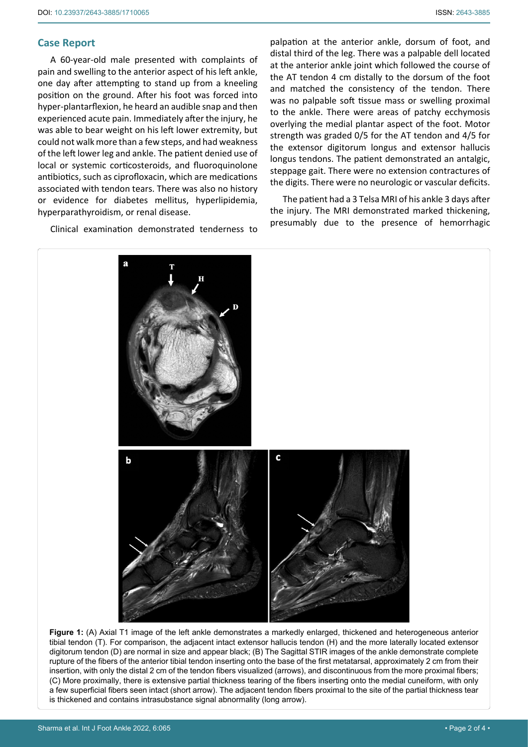## **Case Report**

A 60-year-old male presented with complaints of pain and swelling to the anterior aspect of his left ankle, one day after attempting to stand up from a kneeling position on the ground. After his foot was forced into hyper-plantarflexion, he heard an audible snap and then experienced acute pain. Immediately after the injury, he was able to bear weight on his left lower extremity, but could not walk more than a few steps, and had weakness of the left lower leg and ankle. The patient denied use of local or systemic corticosteroids, and fluoroquinolone antibiotics, such as ciprofloxacin, which are medications associated with tendon tears. There was also no history or evidence for diabetes mellitus, hyperlipidemia, hyperparathyroidism, or renal disease.

Clinical examination demonstrated tenderness to

palpation at the anterior ankle, dorsum of foot, and distal third of the leg. There was a palpable dell located at the anterior ankle joint which followed the course of the AT tendon 4 cm distally to the dorsum of the foot and matched the consistency of the tendon. There was no palpable soft tissue mass or swelling proximal to the ankle. There were areas of patchy ecchymosis overlying the medial plantar aspect of the foot. Motor strength was graded 0/5 for the AT tendon and 4/5 for the extensor digitorum longus and extensor hallucis longus tendons. The patient demonstrated an antalgic, steppage gait. There were no extension contractures of the digits. There were no neurologic or vascular deficits.

The patient had a 3 Telsa MRI of his ankle 3 days after the injury. The MRI demonstrated marked thickening, presumably due to the presence of hemorrhagic

<span id="page-1-0"></span>

**Figure 1:** (A) Axial T1 image of the left ankle demonstrates a markedly enlarged, thickened and heterogeneous anterior tibial tendon (T). For comparison, the adjacent intact extensor hallucis tendon (H) and the more laterally located extensor digitorum tendon (D) are normal in size and appear black; (B) The Sagittal STIR images of the ankle demonstrate complete rupture of the fibers of the anterior tibial tendon inserting onto the base of the first metatarsal, approximately 2 cm from their insertion, with only the distal 2 cm of the tendon fibers visualized (arrows), and discontinuous from the more proximal fibers; (C) More proximally, there is extensive partial thickness tearing of the fibers inserting onto the medial cuneiform, with only a few superficial fibers seen intact (short arrow). The adjacent tendon fibers proximal to the site of the partial thickness tear is thickened and contains intrasubstance signal abnormality (long arrow).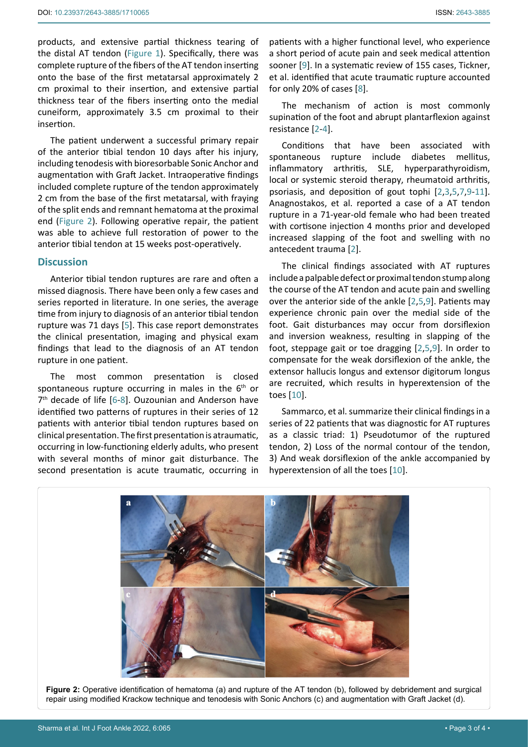products, and extensive partial thickness tearing of the distal AT tendon ([Figure 1](#page-1-0)). Specifically, there was complete rupture of the fibers of the AT tendon inserting onto the base of the first metatarsal approximately 2 cm proximal to their insertion, and extensive partial thickness tear of the fibers inserting onto the medial cuneiform, approximately 3.5 cm proximal to their insertion.

The patient underwent a successful primary repair of the anterior tibial tendon 10 days after his injury, including tenodesis with bioresorbable Sonic Anchor and augmentation with Graft Jacket. Intraoperative findings included complete rupture of the tendon approximately 2 cm from the base of the first metatarsal, with fraying of the split ends and remnant hematoma at the proximal end ([Figure 2](#page-2-0)). Following operative repair, the patient was able to achieve full restoration of power to the anterior tibial tendon at 15 weeks post-operatively.

## **Discussion**

Anterior tibial tendon ruptures are rare and often a missed diagnosis. There have been only a few cases and series reported in literature. In one series, the average time from injury to diagnosis of an anterior tibial tendon rupture was 71 days [\[5\]](#page-3-3). This case report demonstrates the clinical presentation, imaging and physical exam findings that lead to the diagnosis of an AT tendon rupture in one patient.

The most common presentation is closed spontaneous rupture occurring in males in the  $6<sup>th</sup>$  or  $7<sup>th</sup>$  decade of life [[6](#page-3-10)-[8](#page-3-6)]. Ouzounian and Anderson have identified two patterns of ruptures in their series of 12 patients with anterior tibial tendon ruptures based on clinical presentation. The first presentation is atraumatic, occurring in low-functioning elderly adults, who present with several months of minor gait disturbance. The second presentation is acute traumatic, occurring in patients with a higher functional level, who experience a short period of acute pain and seek medical attention sooner [[9](#page-3-5)]. In a systematic review of 155 cases, Tickner, et al. identified that acute traumatic rupture accounted for only 20% of cases [[8](#page-3-6)].

The mechanism of action is most commonly supination of the foot and abrupt plantarflexion against resistance [[2](#page-3-4)-[4](#page-3-1)].

Conditions that have been associated with spontaneous rupture include diabetes mellitus, inflammatory arthritis, SLE, hyperparathyroidism, local or systemic steroid therapy, rheumatoid arthritis, psoriasis, and deposition of gout tophi [[2,](#page-3-4)[3](#page-3-2),[5](#page-3-3)[,7,](#page-3-7)[9](#page-3-5)[-11\]](#page-3-8). Anagnostakos, et al. reported a case of a AT tendon rupture in a 71-year-old female who had been treated with cortisone injection 4 months prior and developed increased slapping of the foot and swelling with no antecedent trauma [[2](#page-3-4)].

The clinical findings associated with AT ruptures include a palpable defect or proximal tendon stump along the course of the AT tendon and acute pain and swelling over the anterior side of the ankle [[2](#page-3-4),[5](#page-3-3)[,9](#page-3-5)]. Patients may experience chronic pain over the medial side of the foot. Gait disturbances may occur from dorsiflexion and inversion weakness, resulting in slapping of the foot, steppage gait or toe dragging [[2](#page-3-4)[,5](#page-3-3)[,9](#page-3-5)]. In order to compensate for the weak dorsiflexion of the ankle, the extensor hallucis longus and extensor digitorum longus are recruited, which results in hyperextension of the toes [[10\]](#page-3-9).

Sammarco, et al. summarize their clinical findings in a series of 22 patients that was diagnostic for AT ruptures as a classic triad: 1) Pseudotumor of the ruptured tendon, 2) Loss of the normal contour of the tendon, 3) And weak dorsiflexion of the ankle accompanied by hyperextension of all the toes [[10\]](#page-3-9).

<span id="page-2-0"></span>

**Figure 2:** Operative identification of hematoma (a) and rupture of the AT tendon (b), followed by debridement and surgical repair using modified Krackow technique and tenodesis with Sonic Anchors (c) and augmentation with Graft Jacket (d).